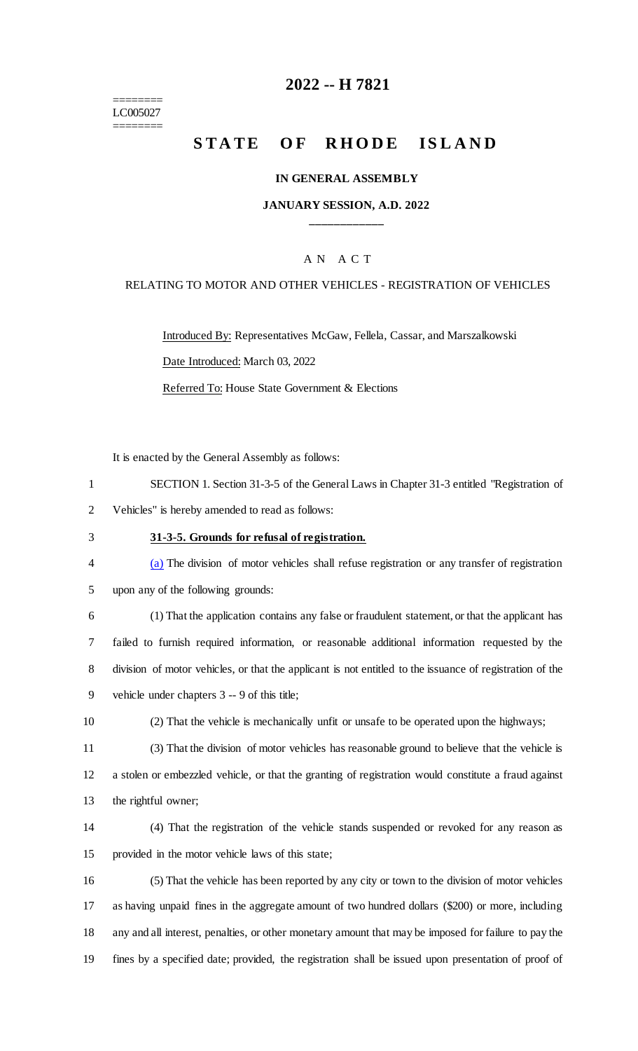======== LC005027 ========

## **2022 -- H 7821**

# **STATE OF RHODE ISLAND**

#### **IN GENERAL ASSEMBLY**

#### **JANUARY SESSION, A.D. 2022 \_\_\_\_\_\_\_\_\_\_\_\_**

#### A N A C T

#### RELATING TO MOTOR AND OTHER VEHICLES - REGISTRATION OF VEHICLES

Introduced By: Representatives McGaw, Fellela, Cassar, and Marszalkowski Date Introduced: March 03, 2022

Referred To: House State Government & Elections

It is enacted by the General Assembly as follows:

| SECTION 1. Section 31-3-5 of the General Laws in Chapter 31-3 entitled "Registration of |
|-----------------------------------------------------------------------------------------|
| Vehicles" is hereby amended to read as follows:                                         |

#### 3 **31-3-5. Grounds for refusal of registration.**

4 (a) The division of motor vehicles shall refuse registration or any transfer of registration

5 upon any of the following grounds:

 (1) That the application contains any false or fraudulent statement, or that the applicant has failed to furnish required information, or reasonable additional information requested by the division of motor vehicles, or that the applicant is not entitled to the issuance of registration of the vehicle under chapters 3 -- 9 of this title;

10 (2) That the vehicle is mechanically unfit or unsafe to be operated upon the highways;

11 (3) That the division of motor vehicles has reasonable ground to believe that the vehicle is 12 a stolen or embezzled vehicle, or that the granting of registration would constitute a fraud against 13 the rightful owner;

14 (4) That the registration of the vehicle stands suspended or revoked for any reason as 15 provided in the motor vehicle laws of this state;

 (5) That the vehicle has been reported by any city or town to the division of motor vehicles as having unpaid fines in the aggregate amount of two hundred dollars (\$200) or more, including any and all interest, penalties, or other monetary amount that may be imposed for failure to pay the fines by a specified date; provided, the registration shall be issued upon presentation of proof of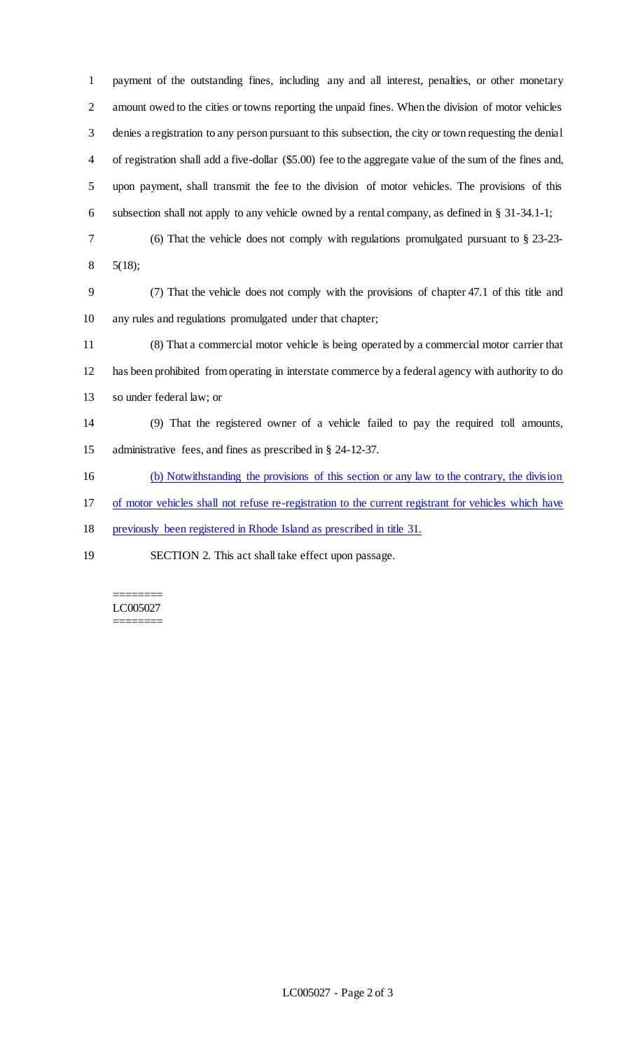payment of the outstanding fines, including any and all interest, penalties, or other monetary amount owed to the cities or towns reporting the unpaid fines. When the division of motor vehicles denies a registration to any person pursuant to this subsection, the city or town requesting the denial of registration shall add a five-dollar (\$5.00) fee to the aggregate value of the sum of the fines and, upon payment, shall transmit the fee to the division of motor vehicles. The provisions of this subsection shall not apply to any vehicle owned by a rental company, as defined in § 31-34.1-1;

- (6) That the vehicle does not comply with regulations promulgated pursuant to § 23-23-
- 5(18);

 (7) That the vehicle does not comply with the provisions of chapter 47.1 of this title and any rules and regulations promulgated under that chapter;

 (8) That a commercial motor vehicle is being operated by a commercial motor carrier that has been prohibited from operating in interstate commerce by a federal agency with authority to do so under federal law; or

 (9) That the registered owner of a vehicle failed to pay the required toll amounts, administrative fees, and fines as prescribed in § 24-12-37.

(b) Notwithstanding the provisions of this section or any law to the contrary, the division

of motor vehicles shall not refuse re-registration to the current registrant for vehicles which have

previously been registered in Rhode Island as prescribed in title 31.

SECTION 2. This act shall take effect upon passage.

======== LC005027 ========